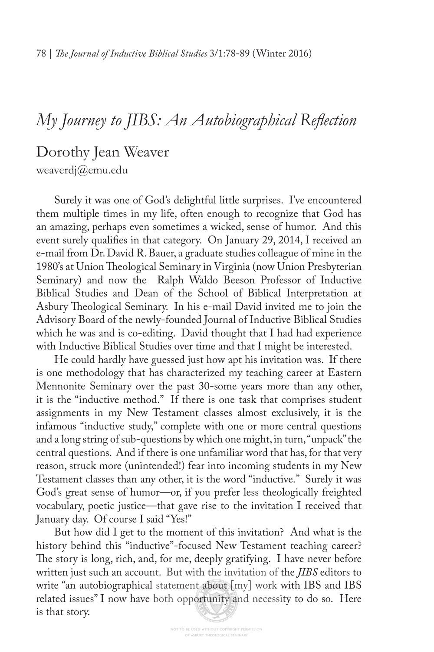# *My Journey to JIBS: An Autobiographical Refection*

Dorothy Jean Weaver weaverdj@emu.edu

Surely it was one of God's delightful little surprises. I've encountered them multiple times in my life, often enough to recognize that God has an amazing, perhaps even sometimes a wicked, sense of humor. And this event surely qualifes in that category. On January 29, 2014, I received an e-mail from Dr. David R. Bauer, a graduate studies colleague of mine in the 1980's at Union Theological Seminary in Virginia (now Union Presbyterian Seminary) and now the Ralph Waldo Beeson Professor of Inductive Biblical Studies and Dean of the School of Biblical Interpretation at Asbury Theological Seminary. In his e-mail David invited me to join the Advisory Board of the newly-founded Journal of Inductive Biblical Studies which he was and is co-editing. David thought that I had had experience with Inductive Biblical Studies over time and that I might be interested.

He could hardly have guessed just how apt his invitation was. If there is one methodology that has characterized my teaching career at Eastern Mennonite Seminary over the past 30-some years more than any other, it is the "inductive method." If there is one task that comprises student assignments in my New Testament classes almost exclusively, it is the infamous "inductive study," complete with one or more central questions and a long string of sub-questions by which one might, in turn, "unpack" the central questions. And if there is one unfamiliar word that has, for that very reason, struck more (unintended!) fear into incoming students in my New Testament classes than any other, it is the word "inductive." Surely it was God's great sense of humor—or, if you prefer less theologically freighted vocabulary, poetic justice—that gave rise to the invitation I received that January day. Of course I said "Yes!"

But how did I get to the moment of this invitation? And what is the history behind this "inductive"-focused New Testament teaching career? The story is long, rich, and, for me, deeply gratifying. I have never before written just such an account. But with the invitation of the *JIBS* editors to write "an autobiographical statement about [my] work with IBS and IBS related issues" I now have both opportunity and necessity to do so. Here is that story.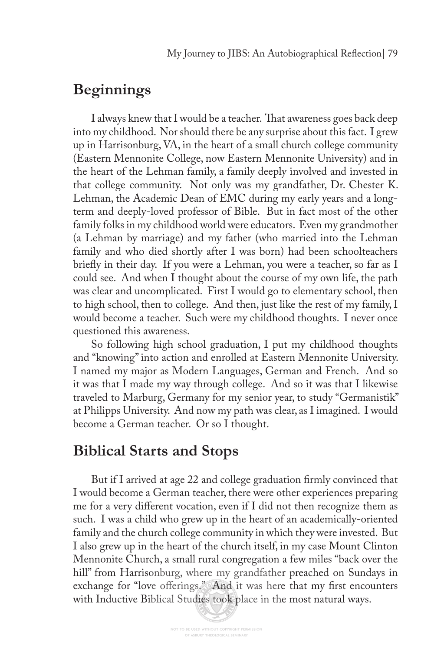### **Beginnings**

I always knew that I would be a teacher. That awareness goes back deep into my childhood. Nor should there be any surprise about this fact. I grew up in Harrisonburg, VA, in the heart of a small church college community (Eastern Mennonite College, now Eastern Mennonite University) and in the heart of the Lehman family, a family deeply involved and invested in that college community. Not only was my grandfather, Dr. Chester K. Lehman, the Academic Dean of EMC during my early years and a longterm and deeply-loved professor of Bible. But in fact most of the other family folks in my childhood world were educators. Even my grandmother (a Lehman by marriage) and my father (who married into the Lehman family and who died shortly after I was born) had been schoolteachers briefy in their day. If you were a Lehman, you were a teacher, so far as I could see. And when I thought about the course of my own life, the path was clear and uncomplicated. First I would go to elementary school, then to high school, then to college. And then, just like the rest of my family, I would become a teacher. Such were my childhood thoughts. I never once questioned this awareness.

So following high school graduation, I put my childhood thoughts and "knowing" into action and enrolled at Eastern Mennonite University. I named my major as Modern Languages, German and French. And so it was that I made my way through college. And so it was that I likewise traveled to Marburg, Germany for my senior year, to study "Germanistik" at Philipps University. And now my path was clear, as I imagined. I would become a German teacher. Or so I thought.

## **Biblical Starts and Stops**

But if I arrived at age 22 and college graduation frmly convinced that I would become a German teacher, there were other experiences preparing me for a very diferent vocation, even if I did not then recognize them as such. I was a child who grew up in the heart of an academically-oriented family and the church college community in which they were invested. But I also grew up in the heart of the church itself, in my case Mount Clinton Mennonite Church, a small rural congregation a few miles "back over the hill" from Harrisonburg, where my grandfather preached on Sundays in exchange for "love offerings." And it was here that my first encounters with Inductive Biblical Studies took place in the most natural ways.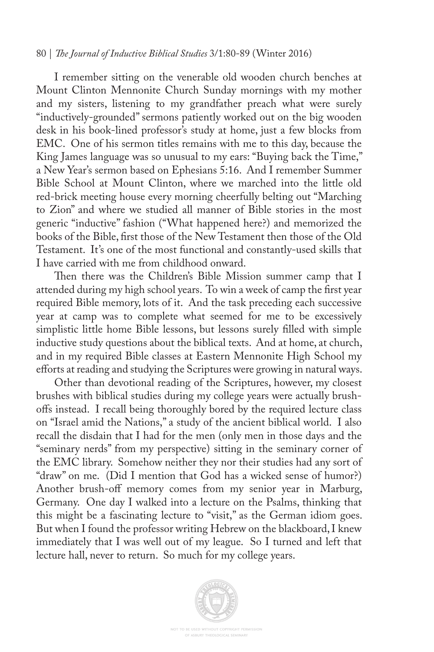#### 80 | *Te Journal of Inductive Biblical Studies* 3/1:80-89 (Winter 2016)

I remember sitting on the venerable old wooden church benches at Mount Clinton Mennonite Church Sunday mornings with my mother and my sisters, listening to my grandfather preach what were surely "inductively-grounded" sermons patiently worked out on the big wooden desk in his book-lined professor's study at home, just a few blocks from EMC. One of his sermon titles remains with me to this day, because the King James language was so unusual to my ears: "Buying back the Time," a New Year's sermon based on Ephesians 5:16. And I remember Summer Bible School at Mount Clinton, where we marched into the little old red-brick meeting house every morning cheerfully belting out "Marching to Zion" and where we studied all manner of Bible stories in the most generic "inductive" fashion ("What happened here?) and memorized the books of the Bible, frst those of the New Testament then those of the Old Testament. It's one of the most functional and constantly-used skills that I have carried with me from childhood onward.

Then there was the Children's Bible Mission summer camp that I attended during my high school years. To win a week of camp the frst year required Bible memory, lots of it. And the task preceding each successive year at camp was to complete what seemed for me to be excessively simplistic little home Bible lessons, but lessons surely flled with simple inductive study questions about the biblical texts. And at home, at church, and in my required Bible classes at Eastern Mennonite High School my efforts at reading and studying the Scriptures were growing in natural ways.

Other than devotional reading of the Scriptures, however, my closest brushes with biblical studies during my college years were actually brushofs instead. I recall being thoroughly bored by the required lecture class on "Israel amid the Nations," a study of the ancient biblical world. I also recall the disdain that I had for the men (only men in those days and the "seminary nerds" from my perspective) sitting in the seminary corner of the EMC library. Somehow neither they nor their studies had any sort of "draw" on me. (Did I mention that God has a wicked sense of humor?) Another brush-off memory comes from my senior year in Marburg, Germany. One day I walked into a lecture on the Psalms, thinking that this might be a fascinating lecture to "visit," as the German idiom goes. But when I found the professor writing Hebrew on the blackboard, I knew immediately that I was well out of my league. So I turned and left that lecture hall, never to return. So much for my college years.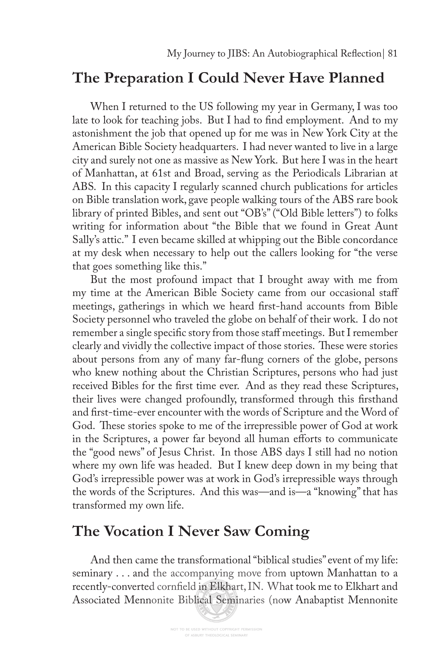### **The Preparation I Could Never Have Planned**

When I returned to the US following my year in Germany, I was too late to look for teaching jobs. But I had to fnd employment. And to my astonishment the job that opened up for me was in New York City at the American Bible Society headquarters. I had never wanted to live in a large city and surely not one as massive as New York. But here I was in the heart of Manhattan, at 61st and Broad, serving as the Periodicals Librarian at ABS. In this capacity I regularly scanned church publications for articles on Bible translation work, gave people walking tours of the ABS rare book library of printed Bibles, and sent out "OB's" ("Old Bible letters") to folks writing for information about "the Bible that we found in Great Aunt Sally's attic." I even became skilled at whipping out the Bible concordance at my desk when necessary to help out the callers looking for "the verse that goes something like this."

But the most profound impact that I brought away with me from my time at the American Bible Society came from our occasional staf meetings, gatherings in which we heard frst-hand accounts from Bible Society personnel who traveled the globe on behalf of their work. I do not remember a single specifc story from those staf meetings. But I remember clearly and vividly the collective impact of those stories. These were stories about persons from any of many far-fung corners of the globe, persons who knew nothing about the Christian Scriptures, persons who had just received Bibles for the frst time ever. And as they read these Scriptures, their lives were changed profoundly, transformed through this frsthand and frst-time-ever encounter with the words of Scripture and the Word of God. These stories spoke to me of the irrepressible power of God at work in the Scriptures, a power far beyond all human efforts to communicate the "good news" of Jesus Christ. In those ABS days I still had no notion where my own life was headed. But I knew deep down in my being that God's irrepressible power was at work in God's irrepressible ways through the words of the Scriptures. And this was—and is—a "knowing" that has transformed my own life.

### **The Vocation I Never Saw Coming**

And then came the transformational "biblical studies" event of my life: seminary . . . and the accompanying move from uptown Manhattan to a recently-converted cornfeld in Elkhart, IN. What took me to Elkhart and Associated Mennonite Biblical Seminaries (now Anabaptist Mennonite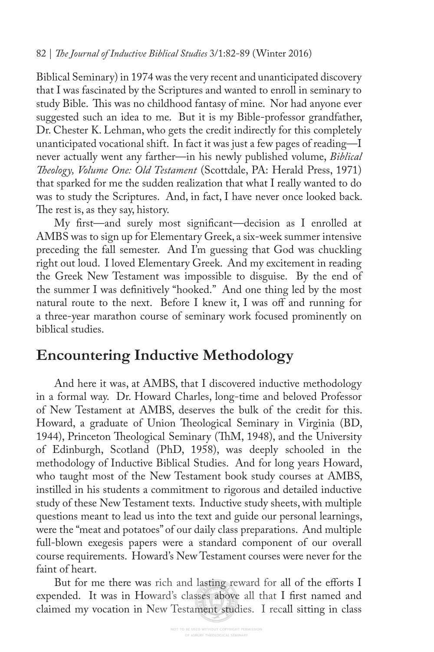#### 82 | *Te Journal of Inductive Biblical Studies* 3/1:82-89 (Winter 2016)

Biblical Seminary) in 1974 was the very recent and unanticipated discovery that I was fascinated by the Scriptures and wanted to enroll in seminary to study Bible. This was no childhood fantasy of mine. Nor had anyone ever suggested such an idea to me. But it is my Bible-professor grandfather, Dr. Chester K. Lehman, who gets the credit indirectly for this completely unanticipated vocational shift. In fact it was just a few pages of reading—I never actually went any farther—in his newly published volume, *Biblical Teology, Volume One: Old Testament* (Scottdale, PA: Herald Press, 1971) that sparked for me the sudden realization that what I really wanted to do was to study the Scriptures. And, in fact, I have never once looked back. The rest is, as they say, history.

My frst—and surely most signifcant—decision as I enrolled at AMBS was to sign up for Elementary Greek, a six-week summer intensive preceding the fall semester. And I'm guessing that God was chuckling right out loud. I loved Elementary Greek. And my excitement in reading the Greek New Testament was impossible to disguise. By the end of the summer I was defnitively "hooked." And one thing led by the most natural route to the next. Before I knew it, I was off and running for a three-year marathon course of seminary work focused prominently on biblical studies.

# **Encountering Inductive Methodology**

And here it was, at AMBS, that I discovered inductive methodology in a formal way. Dr. Howard Charles, long-time and beloved Professor of New Testament at AMBS, deserves the bulk of the credit for this. Howard, a graduate of Union Theological Seminary in Virginia (BD, 1944), Princeton Theological Seminary (ThM, 1948), and the University of Edinburgh, Scotland (PhD, 1958), was deeply schooled in the methodology of Inductive Biblical Studies. And for long years Howard, who taught most of the New Testament book study courses at AMBS, instilled in his students a commitment to rigorous and detailed inductive study of these New Testament texts. Inductive study sheets, with multiple questions meant to lead us into the text and guide our personal learnings, were the "meat and potatoes" of our daily class preparations. And multiple full-blown exegesis papers were a standard component of our overall course requirements. Howard's New Testament courses were never for the faint of heart.

But for me there was rich and lasting reward for all of the efforts I expended. It was in Howard's classes above all that I frst named and claimed my vocation in New Testament studies. I recall sitting in class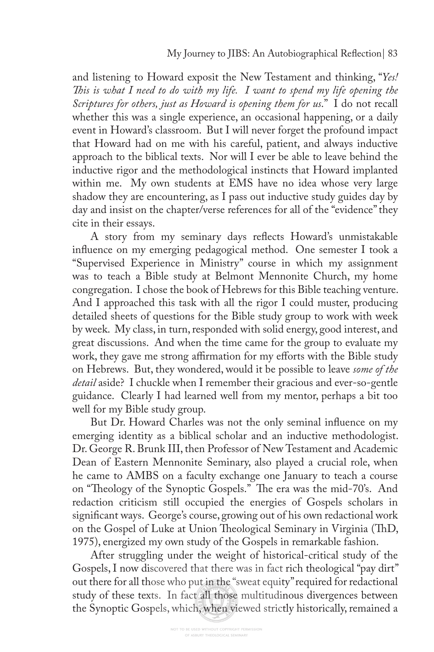and listening to Howard exposit the New Testament and thinking, "*Yes! Tis is what I need to do with my life. I want to spend my life opening the Scriptures for others, just as Howard is opening them for us*." I do not recall whether this was a single experience, an occasional happening, or a daily event in Howard's classroom. But I will never forget the profound impact that Howard had on me with his careful, patient, and always inductive approach to the biblical texts. Nor will I ever be able to leave behind the inductive rigor and the methodological instincts that Howard implanted within me. My own students at EMS have no idea whose very large shadow they are encountering, as I pass out inductive study guides day by day and insist on the chapter/verse references for all of the "evidence" they cite in their essays.

A story from my seminary days refects Howard's unmistakable infuence on my emerging pedagogical method. One semester I took a "Supervised Experience in Ministry" course in which my assignment was to teach a Bible study at Belmont Mennonite Church, my home congregation. I chose the book of Hebrews for this Bible teaching venture. And I approached this task with all the rigor I could muster, producing detailed sheets of questions for the Bible study group to work with week by week. My class, in turn, responded with solid energy, good interest, and great discussions. And when the time came for the group to evaluate my work, they gave me strong affirmation for my efforts with the Bible study on Hebrews. But, they wondered, would it be possible to leave *some of the detail* aside? I chuckle when I remember their gracious and ever-so-gentle guidance. Clearly I had learned well from my mentor, perhaps a bit too well for my Bible study group.

But Dr. Howard Charles was not the only seminal infuence on my emerging identity as a biblical scholar and an inductive methodologist. Dr. George R. Brunk III, then Professor of New Testament and Academic Dean of Eastern Mennonite Seminary, also played a crucial role, when he came to AMBS on a faculty exchange one January to teach a course on "Theology of the Synoptic Gospels." The era was the mid-70's. And redaction criticism still occupied the energies of Gospels scholars in signifcant ways. George's course, growing out of his own redactional work on the Gospel of Luke at Union Theological Seminary in Virginia (ThD, 1975), energized my own study of the Gospels in remarkable fashion.

After struggling under the weight of historical-critical study of the Gospels, I now discovered that there was in fact rich theological "pay dirt" out there for all those who put in the "sweat equity" required for redactional study of these texts. In fact all those multitudinous divergences between the Synoptic Gospels, which, when viewed strictly historically, remained a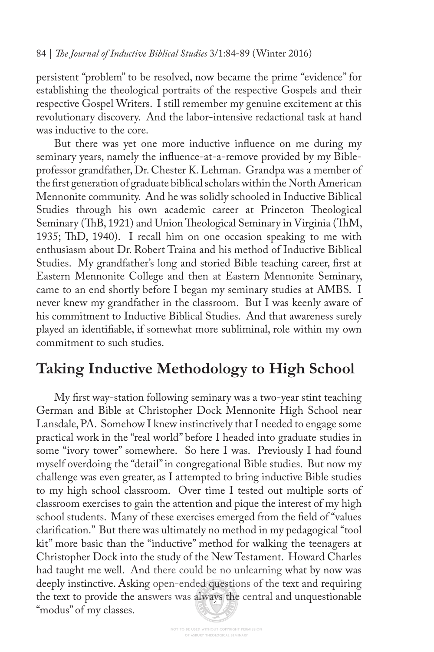persistent "problem" to be resolved, now became the prime "evidence" for establishing the theological portraits of the respective Gospels and their respective Gospel Writers. I still remember my genuine excitement at this revolutionary discovery. And the labor-intensive redactional task at hand was inductive to the core.

But there was yet one more inductive infuence on me during my seminary years, namely the infuence-at-a-remove provided by my Bibleprofessor grandfather, Dr. Chester K. Lehman. Grandpa was a member of the frst generation of graduate biblical scholars within the North American Mennonite community. And he was solidly schooled in Inductive Biblical Studies through his own academic career at Princeton Theological Seminary (ThB, 1921) and Union Theological Seminary in Virginia (ThM, 1935; ThD, 1940). I recall him on one occasion speaking to me with enthusiasm about Dr. Robert Traina and his method of Inductive Biblical Studies. My grandfather's long and storied Bible teaching career, frst at Eastern Mennonite College and then at Eastern Mennonite Seminary, came to an end shortly before I began my seminary studies at AMBS. I never knew my grandfather in the classroom. But I was keenly aware of his commitment to Inductive Biblical Studies. And that awareness surely played an identifable, if somewhat more subliminal, role within my own commitment to such studies.

## **Taking Inductive Methodology to High School**

My frst way-station following seminary was a two-year stint teaching German and Bible at Christopher Dock Mennonite High School near Lansdale, PA. Somehow I knew instinctively that I needed to engage some practical work in the "real world" before I headed into graduate studies in some "ivory tower" somewhere. So here I was. Previously I had found myself overdoing the "detail" in congregational Bible studies. But now my challenge was even greater, as I attempted to bring inductive Bible studies to my high school classroom. Over time I tested out multiple sorts of classroom exercises to gain the attention and pique the interest of my high school students. Many of these exercises emerged from the feld of "values clarifcation." But there was ultimately no method in my pedagogical "tool kit" more basic than the "inductive" method for walking the teenagers at Christopher Dock into the study of the New Testament. Howard Charles had taught me well. And there could be no unlearning what by now was deeply instinctive. Asking open-ended questions of the text and requiring the text to provide the answers was always the central and unquestionable "modus" of my classes.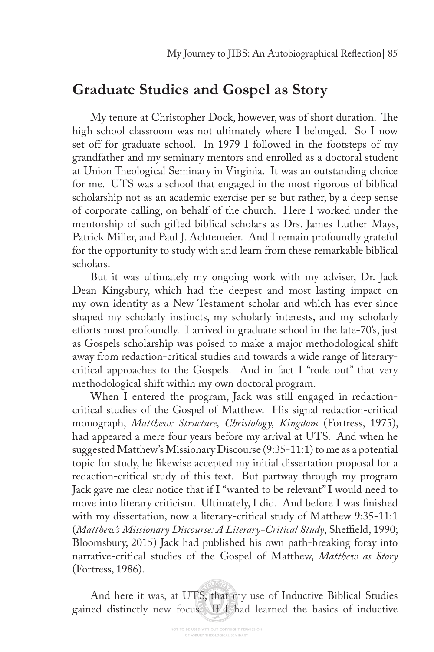### **Graduate Studies and Gospel as Story**

My tenure at Christopher Dock, however, was of short duration. The high school classroom was not ultimately where I belonged. So I now set off for graduate school. In 1979 I followed in the footsteps of my grandfather and my seminary mentors and enrolled as a doctoral student at Union Theological Seminary in Virginia. It was an outstanding choice for me. UTS was a school that engaged in the most rigorous of biblical scholarship not as an academic exercise per se but rather, by a deep sense of corporate calling, on behalf of the church. Here I worked under the mentorship of such gifted biblical scholars as Drs. James Luther Mays, Patrick Miller, and Paul J. Achtemeier. And I remain profoundly grateful for the opportunity to study with and learn from these remarkable biblical scholars.

But it was ultimately my ongoing work with my adviser, Dr. Jack Dean Kingsbury, which had the deepest and most lasting impact on my own identity as a New Testament scholar and which has ever since shaped my scholarly instincts, my scholarly interests, and my scholarly eforts most profoundly. I arrived in graduate school in the late-70's, just as Gospels scholarship was poised to make a major methodological shift away from redaction-critical studies and towards a wide range of literarycritical approaches to the Gospels. And in fact I "rode out" that very methodological shift within my own doctoral program.

When I entered the program, Jack was still engaged in redactioncritical studies of the Gospel of Matthew. His signal redaction-critical monograph, *Matthew: Structure, Christology, Kingdom* (Fortress, 1975), had appeared a mere four years before my arrival at UTS. And when he suggested Matthew's Missionary Discourse (9:35-11:1) to me as a potential topic for study, he likewise accepted my initial dissertation proposal for a redaction-critical study of this text. But partway through my program Jack gave me clear notice that if I "wanted to be relevant" I would need to move into literary criticism. Ultimately, I did. And before I was fnished with my dissertation, now a literary-critical study of Matthew 9:35-11:1 (*Matthew's Missionary Discourse: A Literary-Critical Study*, Sheffield, 1990; Bloomsbury, 2015) Jack had published his own path-breaking foray into narrative-critical studies of the Gospel of Matthew, *Matthew as Story*  (Fortress, 1986).

And here it was, at UTS, that my use of Inductive Biblical Studies gained distinctly new focus. If I had learned the basics of inductive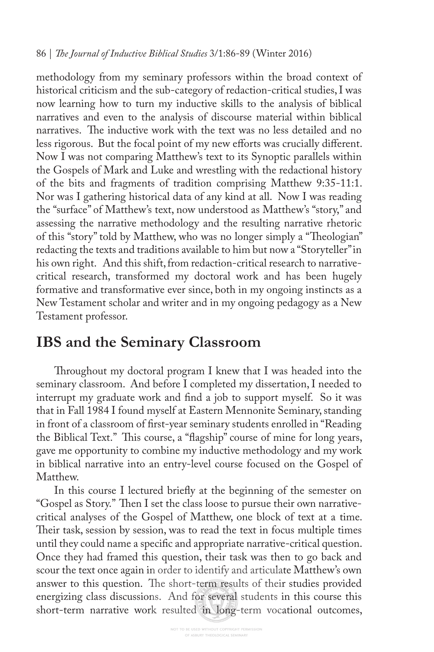methodology from my seminary professors within the broad context of historical criticism and the sub-category of redaction-critical studies, I was now learning how to turn my inductive skills to the analysis of biblical narratives and even to the analysis of discourse material within biblical narratives. The inductive work with the text was no less detailed and no less rigorous. But the focal point of my new efforts was crucially different. Now I was not comparing Matthew's text to its Synoptic parallels within the Gospels of Mark and Luke and wrestling with the redactional history of the bits and fragments of tradition comprising Matthew 9:35-11:1. Nor was I gathering historical data of any kind at all. Now I was reading the "surface" of Matthew's text, now understood as Matthew's "story," and assessing the narrative methodology and the resulting narrative rhetoric of this "story" told by Matthew, who was no longer simply a "Theologian" redacting the texts and traditions available to him but now a "Storyteller" in his own right. And this shift, from redaction-critical research to narrativecritical research, transformed my doctoral work and has been hugely formative and transformative ever since, both in my ongoing instincts as a New Testament scholar and writer and in my ongoing pedagogy as a New Testament professor.

### **IBS and the Seminary Classroom**

Throughout my doctoral program I knew that I was headed into the seminary classroom. And before I completed my dissertation, I needed to interrupt my graduate work and fnd a job to support myself. So it was that in Fall 1984 I found myself at Eastern Mennonite Seminary, standing in front of a classroom of frst-year seminary students enrolled in "Reading the Biblical Text." This course, a "flagship" course of mine for long years, gave me opportunity to combine my inductive methodology and my work in biblical narrative into an entry-level course focused on the Gospel of Matthew.

In this course I lectured briefy at the beginning of the semester on "Gospel as Story." Then I set the class loose to pursue their own narrativecritical analyses of the Gospel of Matthew, one block of text at a time. Their task, session by session, was to read the text in focus multiple times until they could name a specifc and appropriate narrative-critical question. Once they had framed this question, their task was then to go back and scour the text once again in order to identify and articulate Matthew's own answer to this question. The short-term results of their studies provided energizing class discussions. And for several students in this course this short-term narrative work resulted in long-term vocational outcomes,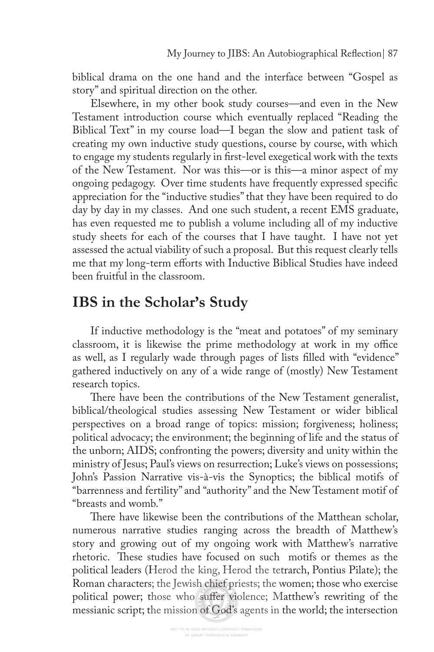biblical drama on the one hand and the interface between "Gospel as story" and spiritual direction on the other.

Elsewhere, in my other book study courses—and even in the New Testament introduction course which eventually replaced "Reading the Biblical Text" in my course load—I began the slow and patient task of creating my own inductive study questions, course by course, with which to engage my students regularly in frst-level exegetical work with the texts of the New Testament. Nor was this—or is this—a minor aspect of my ongoing pedagogy. Over time students have frequently expressed specifc appreciation for the "inductive studies" that they have been required to do day by day in my classes. And one such student, a recent EMS graduate, has even requested me to publish a volume including all of my inductive study sheets for each of the courses that I have taught. I have not yet assessed the actual viability of such a proposal. But this request clearly tells me that my long-term eforts with Inductive Biblical Studies have indeed been fruitful in the classroom.

# **IBS in the Scholar's Study**

If inductive methodology is the "meat and potatoes" of my seminary classroom, it is likewise the prime methodology at work in my office as well, as I regularly wade through pages of lists flled with "evidence" gathered inductively on any of a wide range of (mostly) New Testament research topics.

There have been the contributions of the New Testament generalist, biblical/theological studies assessing New Testament or wider biblical perspectives on a broad range of topics: mission; forgiveness; holiness; political advocacy; the environment; the beginning of life and the status of the unborn; AIDS; confronting the powers; diversity and unity within the ministry of Jesus; Paul's views on resurrection; Luke's views on possessions; John's Passion Narrative vis-à-vis the Synoptics; the biblical motifs of "barrenness and fertility" and "authority" and the New Testament motif of "breasts and womb."

There have likewise been the contributions of the Matthean scholar, numerous narrative studies ranging across the breadth of Matthew's story and growing out of my ongoing work with Matthew's narrative rhetoric. These studies have focused on such motifs or themes as the political leaders (Herod the king, Herod the tetrarch, Pontius Pilate); the Roman characters; the Jewish chief priests; the women; those who exercise political power; those who sufer violence; Matthew's rewriting of the messianic script; the mission of God's agents in the world; the intersection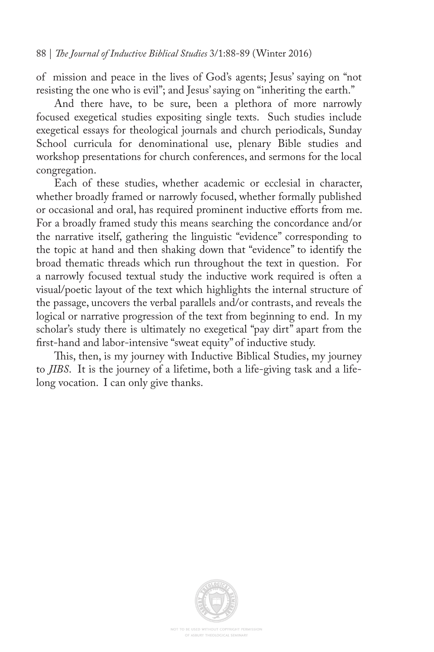of mission and peace in the lives of God's agents; Jesus' saying on "not resisting the one who is evil"; and Jesus' saying on "inheriting the earth."

And there have, to be sure, been a plethora of more narrowly focused exegetical studies expositing single texts. Such studies include exegetical essays for theological journals and church periodicals, Sunday School curricula for denominational use, plenary Bible studies and workshop presentations for church conferences, and sermons for the local congregation.

Each of these studies, whether academic or ecclesial in character, whether broadly framed or narrowly focused, whether formally published or occasional and oral, has required prominent inductive eforts from me. For a broadly framed study this means searching the concordance and/or the narrative itself, gathering the linguistic "evidence" corresponding to the topic at hand and then shaking down that "evidence" to identify the broad thematic threads which run throughout the text in question. For a narrowly focused textual study the inductive work required is often a visual/poetic layout of the text which highlights the internal structure of the passage, uncovers the verbal parallels and/or contrasts, and reveals the logical or narrative progression of the text from beginning to end. In my scholar's study there is ultimately no exegetical "pay dirt" apart from the frst-hand and labor-intensive "sweat equity" of inductive study.

This, then, is my journey with Inductive Biblical Studies, my journey to *JIBS*. It is the journey of a lifetime, both a life-giving task and a lifelong vocation. I can only give thanks.